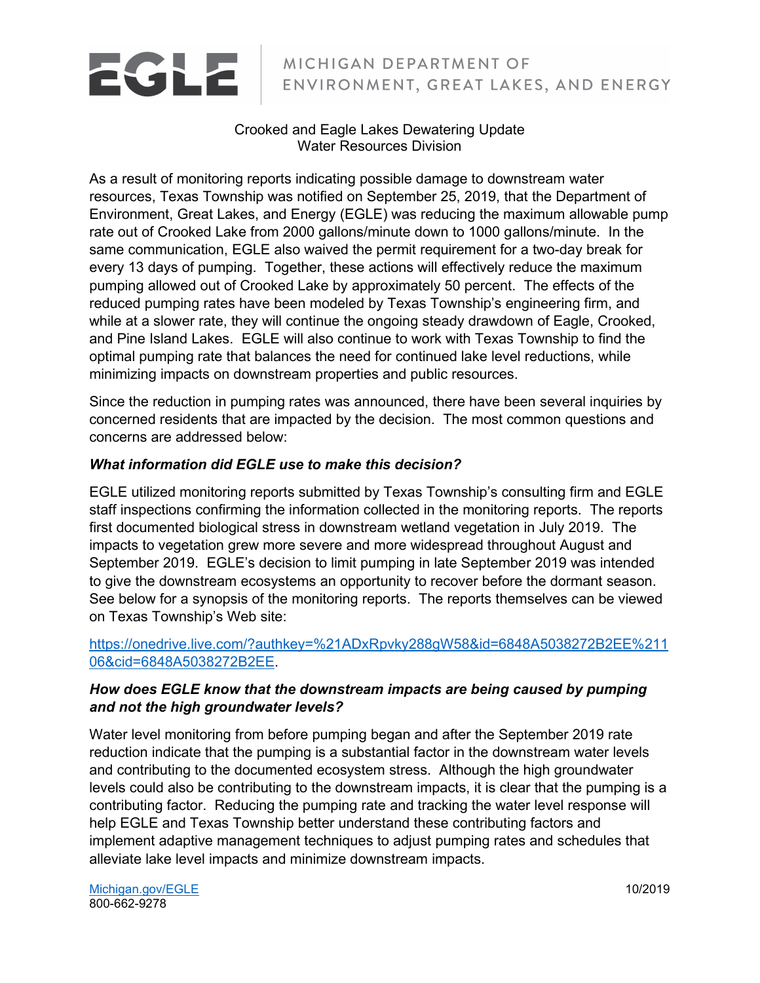# EGLE

# MICHIGAN DEPARTMENT OF ENVIRONMENT, GREAT LAKES, AND ENERGY

#### Crooked and Eagle Lakes Dewatering Update Water Resources Division

As a result of monitoring reports indicating possible damage to downstream water resources, Texas Township was notified on September 25, 2019, that the Department of Environment, Great Lakes, and Energy (EGLE) was reducing the maximum allowable pump rate out of Crooked Lake from 2000 gallons/minute down to 1000 gallons/minute. In the same communication, EGLE also waived the permit requirement for a two-day break for every 13 days of pumping. Together, these actions will effectively reduce the maximum pumping allowed out of Crooked Lake by approximately 50 percent. The effects of the reduced pumping rates have been modeled by Texas Township's engineering firm, and while at a slower rate, they will continue the ongoing steady drawdown of Eagle, Crooked, and Pine Island Lakes. EGLE will also continue to work with Texas Township to find the optimal pumping rate that balances the need for continued lake level reductions, while minimizing impacts on downstream properties and public resources.

Since the reduction in pumping rates was announced, there have been several inquiries by concerned residents that are impacted by the decision. The most common questions and concerns are addressed below:

# *What information did EGLE use to make this decision?*

EGLE utilized monitoring reports submitted by Texas Township's consulting firm and EGLE staff inspections confirming the information collected in the monitoring reports. The reports first documented biological stress in downstream wetland vegetation in July 2019. The impacts to vegetation grew more severe and more widespread throughout August and September 2019. EGLE's decision to limit pumping in late September 2019 was intended to give the downstream ecosystems an opportunity to recover before the dormant season. See below for a synopsis of the monitoring reports. The reports themselves can be viewed on Texas Township's Web site:

# [https://onedrive.live.com/?authkey=%21ADxRpvky288gW58&id=6848A5038272B2EE%211](https://onedrive.live.com/?authkey=%21ADxRpvky288gW58&id=6848A5038272B2EE%21106&cid=6848A5038272B2EE) [06&cid=6848A5038272B2EE.](https://onedrive.live.com/?authkey=%21ADxRpvky288gW58&id=6848A5038272B2EE%21106&cid=6848A5038272B2EE)

# *How does EGLE know that the downstream impacts are being caused by pumping and not the high groundwater levels?*

Water level monitoring from before pumping began and after the September 2019 rate reduction indicate that the pumping is a substantial factor in the downstream water levels and contributing to the documented ecosystem stress. Although the high groundwater levels could also be contributing to the downstream impacts, it is clear that the pumping is a contributing factor. Reducing the pumping rate and tracking the water level response will help EGLE and Texas Township better understand these contributing factors and implement adaptive management techniques to adjust pumping rates and schedules that alleviate lake level impacts and minimize downstream impacts.